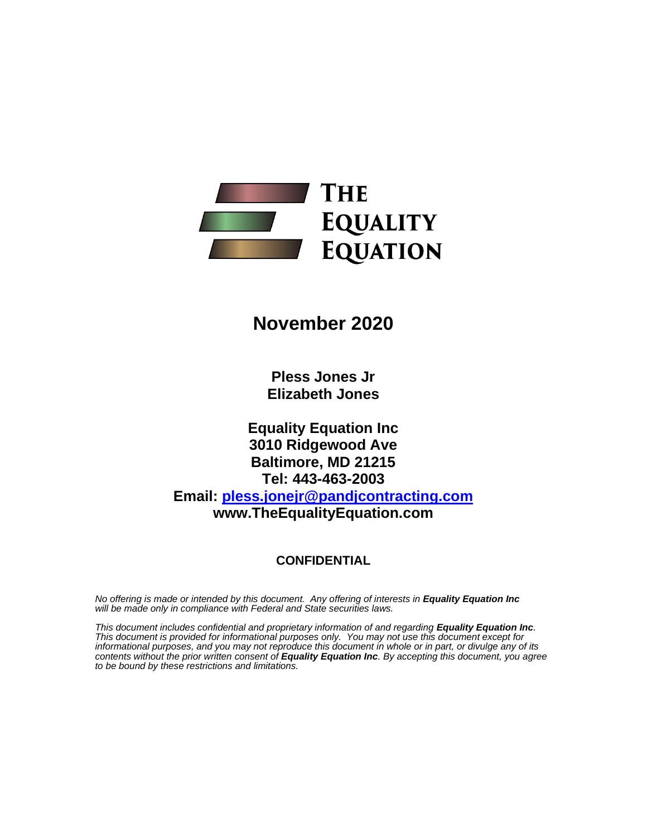

# **November 2020**

**Pless Jones Jr Elizabeth Jones**

**Equality Equation Inc 3010 Ridgewood Ave Baltimore, MD 21215 Tel: 443-463-2003 Email: [pless.jonejr@pandjcontracting.com](mailto:pless.jonejr@pandjcontracting.com) www.TheEqualityEquation.com**

#### **CONFIDENTIAL**

*No offering is made or intended by this document. Any offering of interests in Equality Equation Inc will be made only in compliance with Federal and State securities laws.*

*This document includes confidential and proprietary information of and regarding Equality Equation Inc. This document is provided for informational purposes only. You may not use this document except for informational purposes, and you may not reproduce this document in whole or in part, or divulge any of its contents without the prior written consent of Equality Equation Inc. By accepting this document, you agree to be bound by these restrictions and limitations.*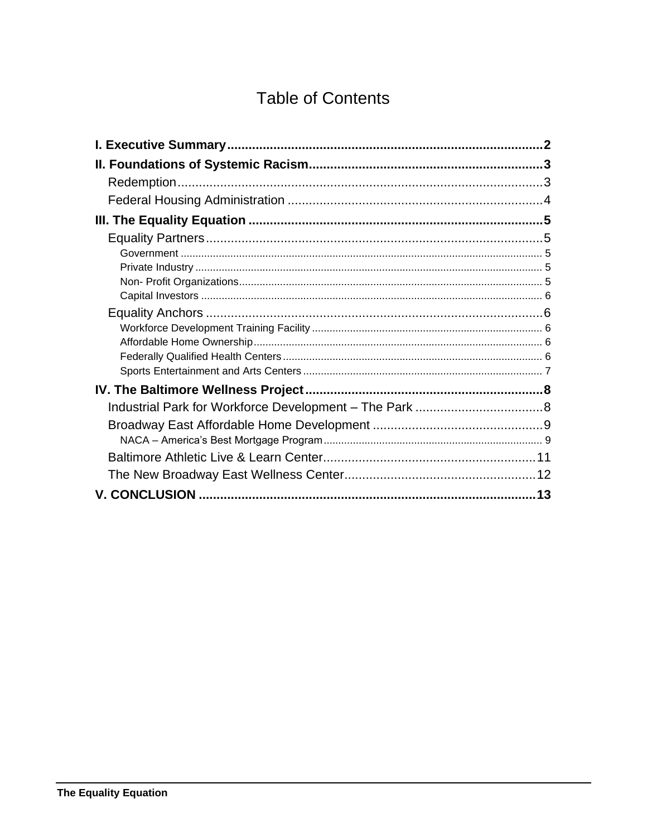# **Table of Contents**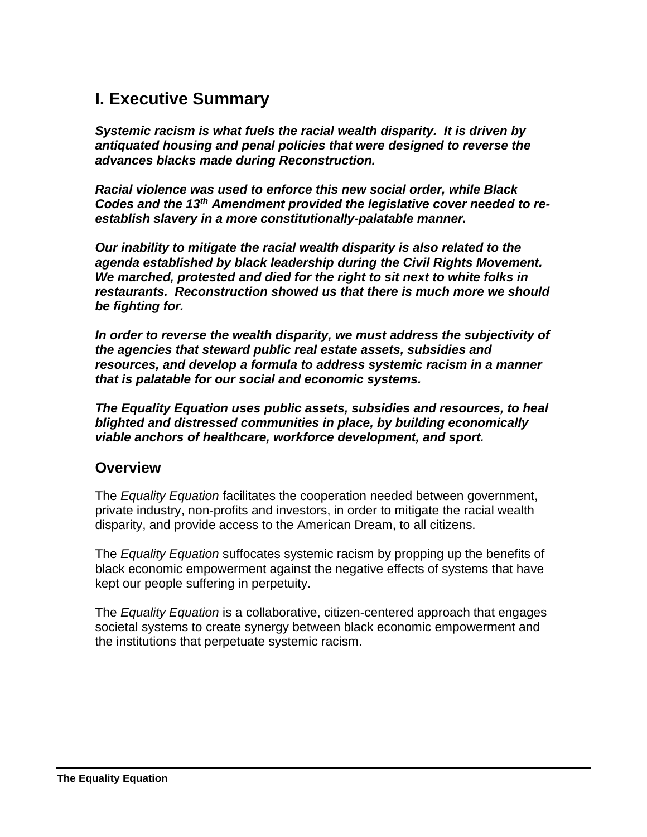# <span id="page-2-0"></span>**I. Executive Summary**

*Systemic racism is what fuels the racial wealth disparity. It is driven by antiquated housing and penal policies that were designed to reverse the advances blacks made during Reconstruction.*

*Racial violence was used to enforce this new social order, while Black Codes and the 13th Amendment provided the legislative cover needed to reestablish slavery in a more constitutionally-palatable manner.*

*Our inability to mitigate the racial wealth disparity is also related to the agenda established by black leadership during the Civil Rights Movement. We marched, protested and died for the right to sit next to white folks in restaurants. Reconstruction showed us that there is much more we should be fighting for.* 

*In order to reverse the wealth disparity, we must address the subjectivity of the agencies that steward public real estate assets, subsidies and resources, and develop a formula to address systemic racism in a manner that is palatable for our social and economic systems.*

*The Equality Equation uses public assets, subsidies and resources, to heal blighted and distressed communities in place, by building economically viable anchors of healthcare, workforce development, and sport.*

### **Overview**

The *Equality Equation* facilitates the cooperation needed between government, private industry, non-profits and investors, in order to mitigate the racial wealth disparity, and provide access to the American Dream, to all citizens.

The *Equality Equation* suffocates systemic racism by propping up the benefits of black economic empowerment against the negative effects of systems that have kept our people suffering in perpetuity.

The *Equality Equation* is a collaborative, citizen-centered approach that engages societal systems to create synergy between black economic empowerment and the institutions that perpetuate systemic racism.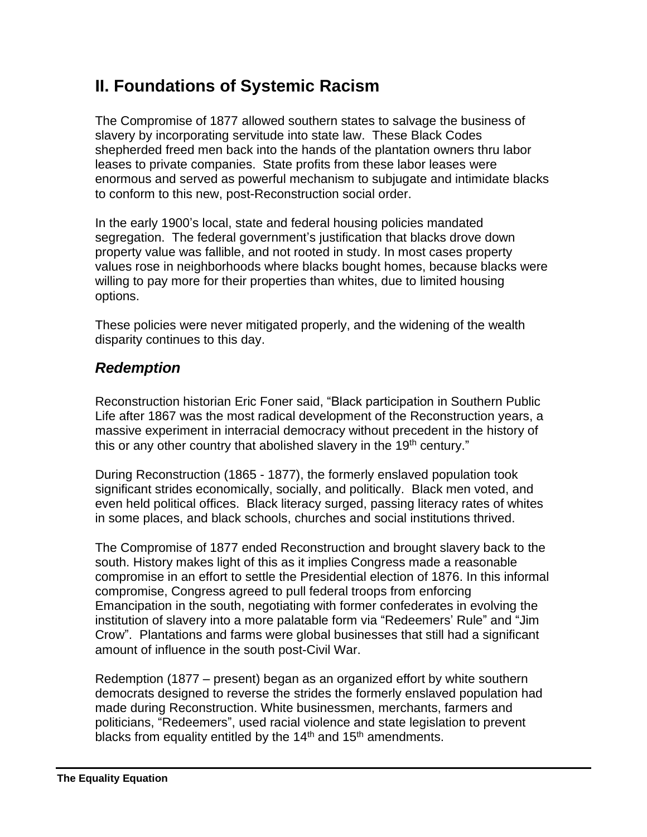# <span id="page-3-0"></span>**II. Foundations of Systemic Racism**

The Compromise of 1877 allowed southern states to salvage the business of slavery by incorporating servitude into state law. These Black Codes shepherded freed men back into the hands of the plantation owners thru labor leases to private companies. State profits from these labor leases were enormous and served as powerful mechanism to subjugate and intimidate blacks to conform to this new, post-Reconstruction social order.

In the early 1900's local, state and federal housing policies mandated segregation. The federal government's justification that blacks drove down property value was fallible, and not rooted in study. In most cases property values rose in neighborhoods where blacks bought homes, because blacks were willing to pay more for their properties than whites, due to limited housing options.

These policies were never mitigated properly, and the widening of the wealth disparity continues to this day.

## <span id="page-3-1"></span>*Redemption*

Reconstruction historian Eric Foner said, "Black participation in Southern Public Life after 1867 was the most radical development of the Reconstruction years, a massive experiment in interracial democracy without precedent in the history of this or any other country that abolished slavery in the 19<sup>th</sup> century."

During Reconstruction (1865 - 1877), the formerly enslaved population took significant strides economically, socially, and politically. Black men voted, and even held political offices. Black literacy surged, passing literacy rates of whites in some places, and black schools, churches and social institutions thrived.

The Compromise of 1877 ended Reconstruction and brought slavery back to the south. History makes light of this as it implies Congress made a reasonable compromise in an effort to settle the Presidential election of 1876. In this informal compromise, Congress agreed to pull federal troops from enforcing Emancipation in the south, negotiating with former confederates in evolving the institution of slavery into a more palatable form via "Redeemers' Rule" and "Jim Crow". Plantations and farms were global businesses that still had a significant amount of influence in the south post-Civil War.

Redemption (1877 – present) began as an organized effort by white southern democrats designed to reverse the strides the formerly enslaved population had made during Reconstruction. White businessmen, merchants, farmers and politicians, "Redeemers", used racial violence and state legislation to prevent blacks from equality entitled by the 14<sup>th</sup> and 15<sup>th</sup> amendments.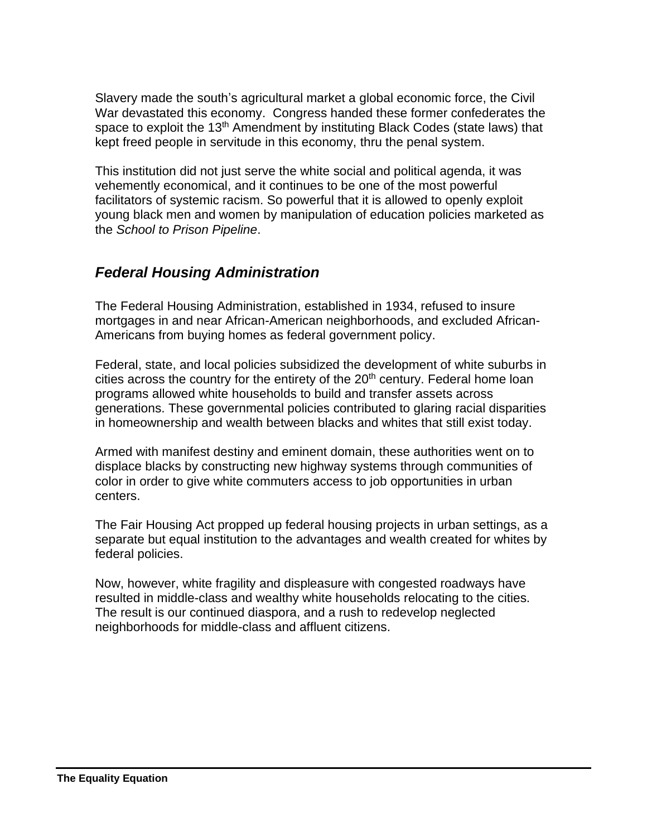Slavery made the south's agricultural market a global economic force, the Civil War devastated this economy. Congress handed these former confederates the space to exploit the  $13<sup>th</sup>$  Amendment by instituting Black Codes (state laws) that kept freed people in servitude in this economy, thru the penal system.

This institution did not just serve the white social and political agenda, it was vehemently economical, and it continues to be one of the most powerful facilitators of systemic racism. So powerful that it is allowed to openly exploit young black men and women by manipulation of education policies marketed as the *School to Prison Pipeline*.

## <span id="page-4-0"></span>*Federal Housing Administration*

The Federal Housing Administration, established in 1934, refused to insure mortgages in and near African-American neighborhoods, and excluded African-Americans from buying homes as federal government policy.

Federal, state, and local policies subsidized the development of white suburbs in cities across the country for the entirety of the 20<sup>th</sup> century. Federal home loan programs allowed white households to build and transfer assets across generations. These governmental policies contributed to glaring racial disparities in homeownership and wealth between blacks and whites that still exist today.

Armed with manifest destiny and eminent domain, these authorities went on to displace blacks by constructing new highway systems through communities of color in order to give white commuters access to job opportunities in urban centers.

The Fair Housing Act propped up federal housing projects in urban settings, as a separate but equal institution to the advantages and wealth created for whites by federal policies.

Now, however, white fragility and displeasure with congested roadways have resulted in middle-class and wealthy white households relocating to the cities. The result is our continued diaspora, and a rush to redevelop neglected neighborhoods for middle-class and affluent citizens.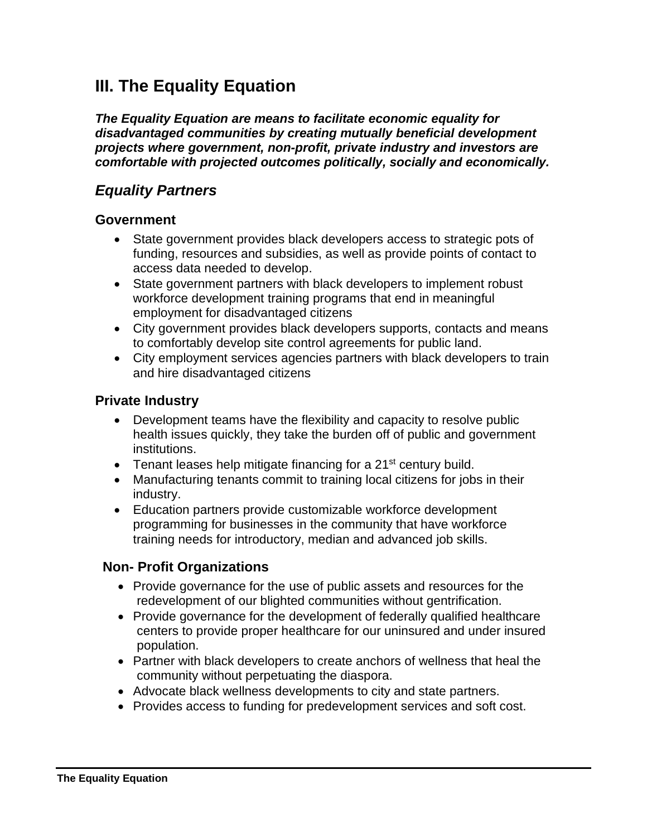# <span id="page-5-0"></span>**III. The Equality Equation**

*The Equality Equation are means to facilitate economic equality for disadvantaged communities by creating mutually beneficial development projects where government, non-profit, private industry and investors are comfortable with projected outcomes politically, socially and economically.*

### <span id="page-5-1"></span>*Equality Partners*

#### <span id="page-5-2"></span>**Government**

- State government provides black developers access to strategic pots of funding, resources and subsidies, as well as provide points of contact to access data needed to develop.
- State government partners with black developers to implement robust workforce development training programs that end in meaningful employment for disadvantaged citizens
- City government provides black developers supports, contacts and means to comfortably develop site control agreements for public land.
- City employment services agencies partners with black developers to train and hire disadvantaged citizens

#### <span id="page-5-3"></span>**Private Industry**

- Development teams have the flexibility and capacity to resolve public health issues quickly, they take the burden off of public and government institutions.
- Tenant leases help mitigate financing for a 21<sup>st</sup> century build.
- Manufacturing tenants commit to training local citizens for jobs in their industry.
- Education partners provide customizable workforce development programming for businesses in the community that have workforce training needs for introductory, median and advanced job skills.

### <span id="page-5-4"></span> **Non- Profit Organizations**

- Provide governance for the use of public assets and resources for the redevelopment of our blighted communities without gentrification.
- Provide governance for the development of federally qualified healthcare centers to provide proper healthcare for our uninsured and under insured population.
- Partner with black developers to create anchors of wellness that heal the community without perpetuating the diaspora.
- Advocate black wellness developments to city and state partners.
- Provides access to funding for predevelopment services and soft cost.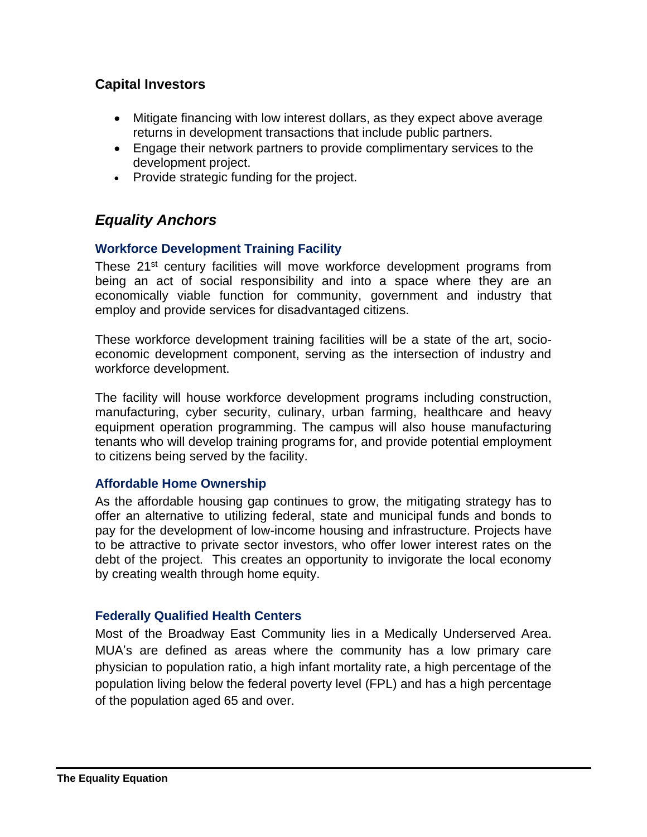### <span id="page-6-0"></span>**Capital Investors**

- Mitigate financing with low interest dollars, as they expect above average returns in development transactions that include public partners.
- Engage their network partners to provide complimentary services to the development project.
- Provide strategic funding for the project.

## <span id="page-6-1"></span>*Equality Anchors*

#### <span id="page-6-2"></span>**Workforce Development Training Facility**

These 21<sup>st</sup> century facilities will move workforce development programs from being an act of social responsibility and into a space where they are an economically viable function for community, government and industry that employ and provide services for disadvantaged citizens.

These workforce development training facilities will be a state of the art, socioeconomic development component, serving as the intersection of industry and workforce development.

The facility will house workforce development programs including construction, manufacturing, cyber security, culinary, urban farming, healthcare and heavy equipment operation programming. The campus will also house manufacturing tenants who will develop training programs for, and provide potential employment to citizens being served by the facility.

#### <span id="page-6-3"></span>**Affordable Home Ownership**

As the affordable housing gap continues to grow, the mitigating strategy has to offer an alternative to utilizing federal, state and municipal funds and bonds to pay for the development of low-income housing and infrastructure. Projects have to be attractive to private sector investors, who offer lower interest rates on the debt of the project. This creates an opportunity to invigorate the local economy by creating wealth through home equity.

#### <span id="page-6-4"></span>**Federally Qualified Health Centers**

Most of the Broadway East Community lies in a Medically Underserved Area. MUA's are defined as areas where the community has a low primary care physician to population ratio, a high infant mortality rate, a high percentage of the population living below the federal poverty level (FPL) and has a high percentage of the population aged 65 and over.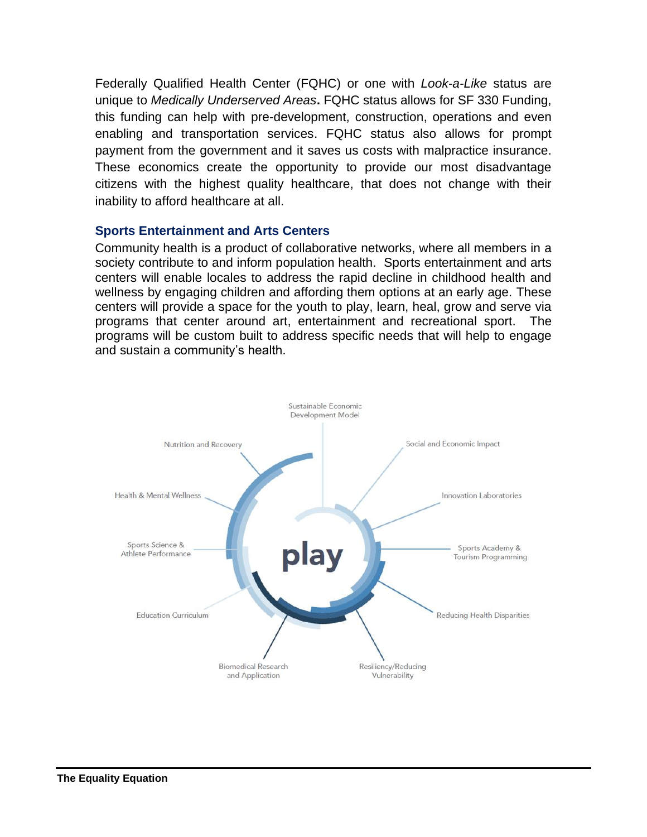Federally Qualified Health Center (FQHC) or one with *Look-a-Like* status are unique to *Medically Underserved Areas***.** FQHC status allows for SF 330 Funding, this funding can help with pre-development, construction, operations and even enabling and transportation services. FQHC status also allows for prompt payment from the government and it saves us costs with malpractice insurance. These economics create the opportunity to provide our most disadvantage citizens with the highest quality healthcare, that does not change with their inability to afford healthcare at all.

#### <span id="page-7-0"></span>**Sports Entertainment and Arts Centers**

Community health is a product of collaborative networks, where all members in a society contribute to and inform population health. Sports entertainment and arts centers will enable locales to address the rapid decline in childhood health and wellness by engaging children and affording them options at an early age. These centers will provide a space for the youth to play, learn, heal, grow and serve via programs that center around art, entertainment and recreational sport. The programs will be custom built to address specific needs that will help to engage and sustain a community's health.

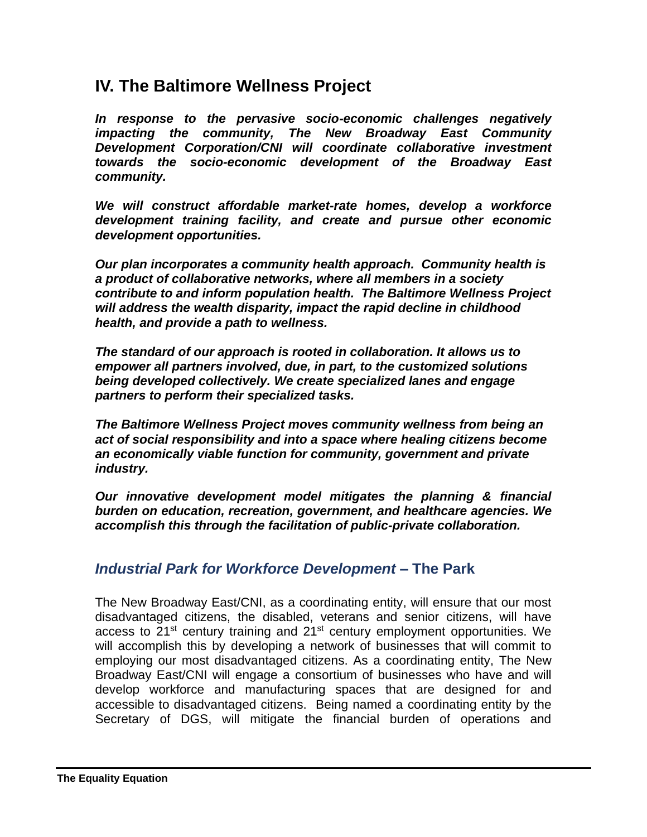## <span id="page-8-0"></span>**IV. The Baltimore Wellness Project**

*In response to the pervasive socio-economic challenges negatively impacting the community, The New Broadway East Community Development Corporation/CNI will coordinate collaborative investment towards the socio-economic development of the Broadway East community.* 

*We will construct affordable market-rate homes, develop a workforce development training facility, and create and pursue other economic development opportunities.*

*Our plan incorporates a community health approach. Community health is a product of collaborative networks, where all members in a society contribute to and inform population health. The Baltimore Wellness Project will address the wealth disparity, impact the rapid decline in childhood health, and provide a path to wellness.* 

*The standard of our approach is rooted in collaboration. It allows us to empower all partners involved, due, in part, to the customized solutions being developed collectively. We create specialized lanes and engage partners to perform their specialized tasks.*

*The Baltimore Wellness Project moves community wellness from being an act of social responsibility and into a space where healing citizens become an economically viable function for community, government and private industry.*

*Our innovative development model mitigates the planning & financial burden on education, recreation, government, and healthcare agencies. We accomplish this through the facilitation of public-private collaboration.*

### <span id="page-8-1"></span>*Industrial Park for Workforce Development –* **The Park**

The New Broadway East/CNI, as a coordinating entity, will ensure that our most disadvantaged citizens, the disabled, veterans and senior citizens, will have access to  $21^{st}$  century training and  $21^{st}$  century employment opportunities. We will accomplish this by developing a network of businesses that will commit to employing our most disadvantaged citizens. As a coordinating entity, The New Broadway East/CNI will engage a consortium of businesses who have and will develop workforce and manufacturing spaces that are designed for and accessible to disadvantaged citizens. Being named a coordinating entity by the Secretary of DGS, will mitigate the financial burden of operations and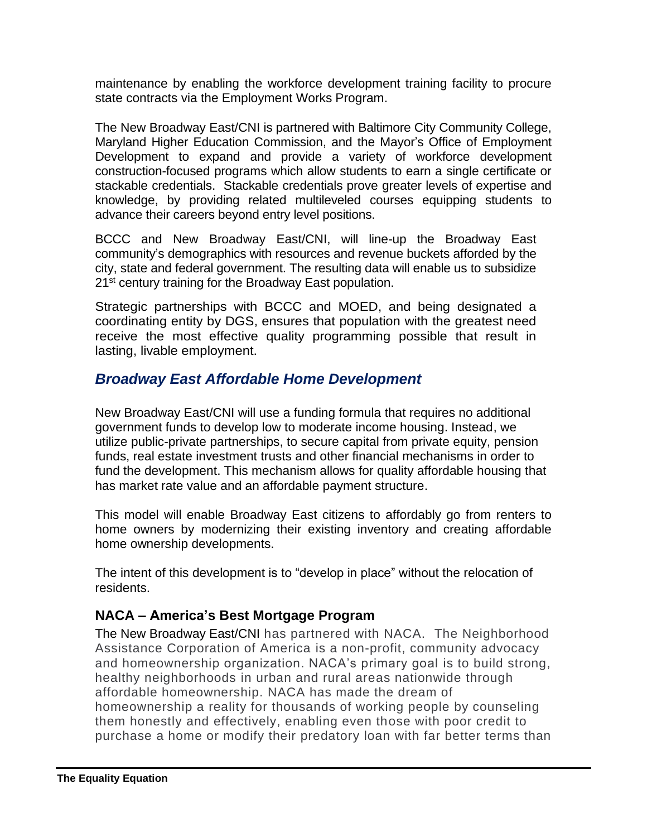maintenance by enabling the workforce development training facility to procure state contracts via the Employment Works Program.

The New Broadway East/CNI is partnered with Baltimore City Community College, Maryland Higher Education Commission, and the Mayor's Office of Employment Development to expand and provide a variety of workforce development construction-focused programs which allow students to earn a single certificate or stackable credentials. Stackable credentials prove greater levels of expertise and knowledge, by providing related multileveled courses equipping students to advance their careers beyond entry level positions.

BCCC and New Broadway East/CNI, will line-up the Broadway East community's demographics with resources and revenue buckets afforded by the city, state and federal government. The resulting data will enable us to subsidize 21<sup>st</sup> century training for the Broadway East population.

Strategic partnerships with BCCC and MOED, and being designated a coordinating entity by DGS, ensures that population with the greatest need receive the most effective quality programming possible that result in lasting, livable employment.

## <span id="page-9-0"></span>*Broadway East Affordable Home Development*

New Broadway East/CNI will use a funding formula that requires no additional government funds to develop low to moderate income housing. Instead, we utilize public-private partnerships, to secure capital from private equity, pension funds, real estate investment trusts and other financial mechanisms in order to fund the development. This mechanism allows for quality affordable housing that has market rate value and an affordable payment structure.

This model will enable Broadway East citizens to affordably go from renters to home owners by modernizing their existing inventory and creating affordable home ownership developments.

The intent of this development is to "develop in place" without the relocation of residents.

### <span id="page-9-1"></span>**NACA – America's Best Mortgage Program**

The New Broadway East/CNI has partnered with NACA. The Neighborhood Assistance Corporation of America is a non-profit, community advocacy and homeownership organization. NACA's primary goal is to build strong, healthy neighborhoods in urban and rural areas nationwide through affordable homeownership. NACA has made the dream of homeownership a reality for thousands of working people by counseling them honestly and effectively, enabling even those with poor credit to purchase a home or modify their predatory loan with far better terms than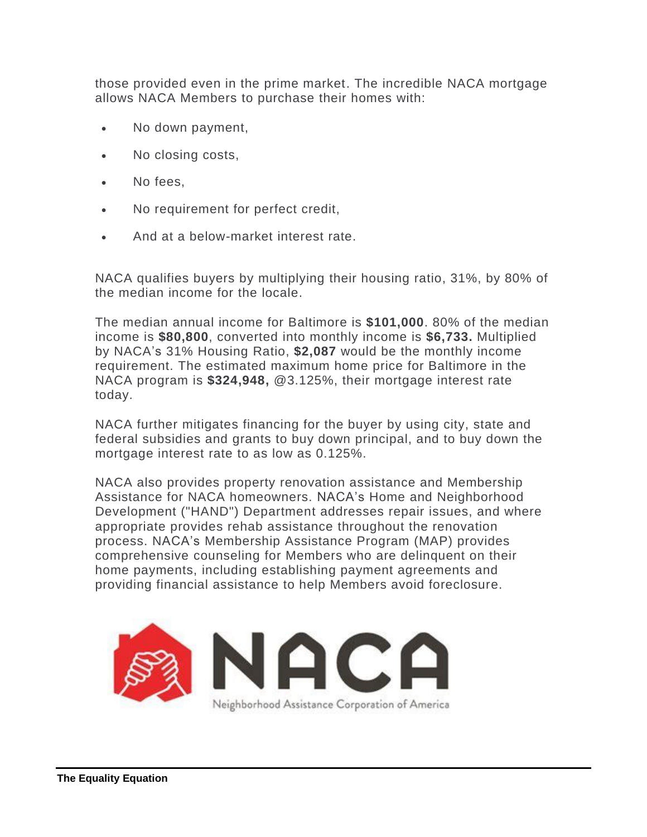those provided even in the prime market. The incredible NACA mortgage allows NACA Members to purchase their homes with:

- No down payment,
- No closing costs,
- No fees.
- No requirement for perfect credit,
- And at a below-market interest rate.

NACA qualifies buyers by multiplying their housing ratio, 31%, by 80% of the median income for the locale.

The median annual income for Baltimore is **\$101,000**. 80% of the median income is **\$80,800**, converted into monthly income is **\$6,733.** Multiplied by NACA's 31% Housing Ratio, **\$2,087** would be the monthly income requirement. The estimated maximum home price for Baltimore in the NACA program is **\$324,948,** @3.125%, their mortgage interest rate today.

NACA further mitigates financing for the buyer by using city, state and federal subsidies and grants to buy down principal, and to buy down the mortgage interest rate to as low as 0.125%.

NACA also provides property renovation assistance and Membership Assistance for NACA homeowners. NACA's Home and Neighborhood Development ("HAND") Department addresses repair issues, and where appropriate provides rehab assistance throughout the renovation process. NACA's Membership Assistance Program (MAP) provides comprehensive counseling for Members who are delinquent on their home payments, including establishing payment agreements and providing financial assistance to help Members avoid foreclosure.

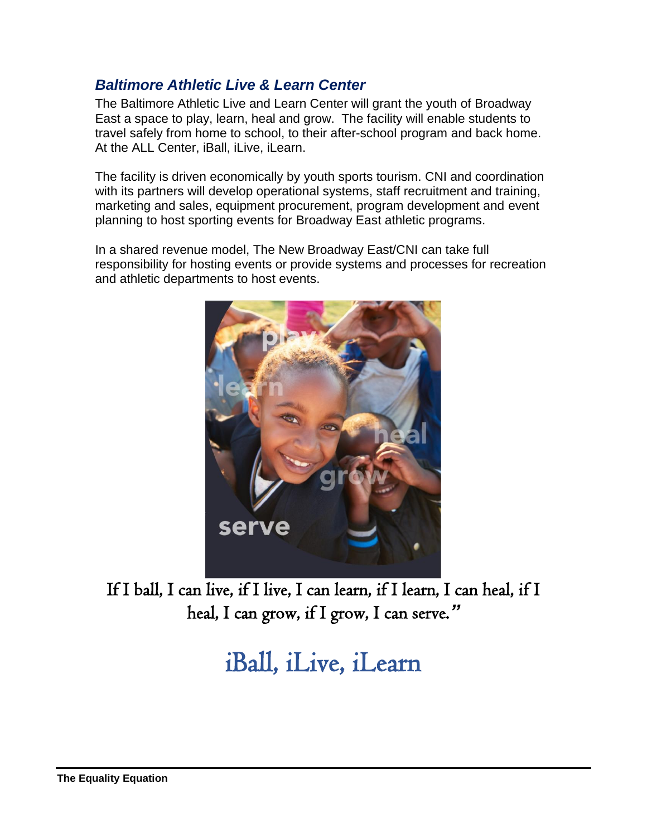## <span id="page-11-0"></span>*Baltimore Athletic Live & Learn Center*

The Baltimore Athletic Live and Learn Center will grant the youth of Broadway East a space to play, learn, heal and grow. The facility will enable students to travel safely from home to school, to their after-school program and back home. At the ALL Center, iBall, iLive, iLearn.

The facility is driven economically by youth sports tourism. CNI and coordination with its partners will develop operational systems, staff recruitment and training, marketing and sales, equipment procurement, program development and event planning to host sporting events for Broadway East athletic programs.

In a shared revenue model, The New Broadway East/CNI can take full responsibility for hosting events or provide systems and processes for recreation and athletic departments to host events.



If I ball, I can live, if I live, I can learn, if I learn, I can heal, if I heal, I can grow, if I grow, I can serve. *"*

iBall, iLive, iLearn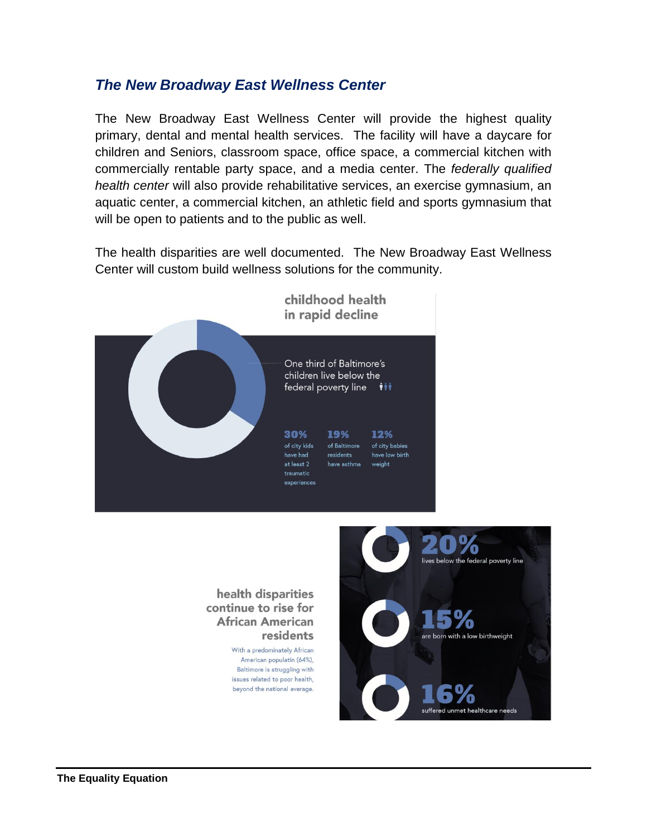### <span id="page-12-0"></span>*The New Broadway East Wellness Center*

The New Broadway East Wellness Center will provide the highest quality primary, dental and mental health services. The facility will have a daycare for children and Seniors, classroom space, office space, a commercial kitchen with commercially rentable party space, and a media center. The *federally qualified health center* will also provide rehabilitative services, an exercise gymnasium, an aquatic center, a commercial kitchen, an athletic field and sports gymnasium that will be open to patients and to the public as well.

The health disparities are well documented. The New Broadway East Wellness Center will custom build wellness solutions for the community.